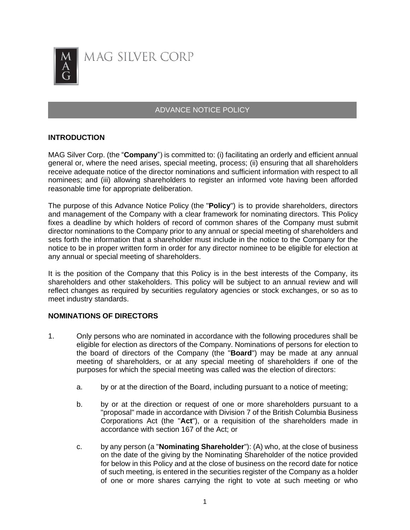

# ADVANCE NOTICE POLICY

## **INTRODUCTION**

MAG Silver Corp. (the "**Company**") is committed to: (i) facilitating an orderly and efficient annual general or, where the need arises, special meeting, process; (ii) ensuring that all shareholders receive adequate notice of the director nominations and sufficient information with respect to all nominees; and (iii) allowing shareholders to register an informed vote having been afforded reasonable time for appropriate deliberation.

The purpose of this Advance Notice Policy (the "**Policy**") is to provide shareholders, directors and management of the Company with a clear framework for nominating directors. This Policy fixes a deadline by which holders of record of common shares of the Company must submit director nominations to the Company prior to any annual or special meeting of shareholders and sets forth the information that a shareholder must include in the notice to the Company for the notice to be in proper written form in order for any director nominee to be eligible for election at any annual or special meeting of shareholders.

It is the position of the Company that this Policy is in the best interests of the Company, its shareholders and other stakeholders. This policy will be subject to an annual review and will reflect changes as required by securities regulatory agencies or stock exchanges, or so as to meet industry standards.

## **NOMINATIONS OF DIRECTORS**

- 1. Only persons who are nominated in accordance with the following procedures shall be eligible for election as directors of the Company. Nominations of persons for election to the board of directors of the Company (the "**Board**") may be made at any annual meeting of shareholders, or at any special meeting of shareholders if one of the purposes for which the special meeting was called was the election of directors:
	- a. by or at the direction of the Board, including pursuant to a notice of meeting;
	- b. by or at the direction or request of one or more shareholders pursuant to a "proposal" made in accordance with Division 7 of the British Columbia Business Corporations Act (the "**Act**"), or a requisition of the shareholders made in accordance with section 167 of the Act; or
	- c. by any person (a "**Nominating Shareholder**"): (A) who, at the close of business on the date of the giving by the Nominating Shareholder of the notice provided for below in this Policy and at the close of business on the record date for notice of such meeting, is entered in the securities register of the Company as a holder of one or more shares carrying the right to vote at such meeting or who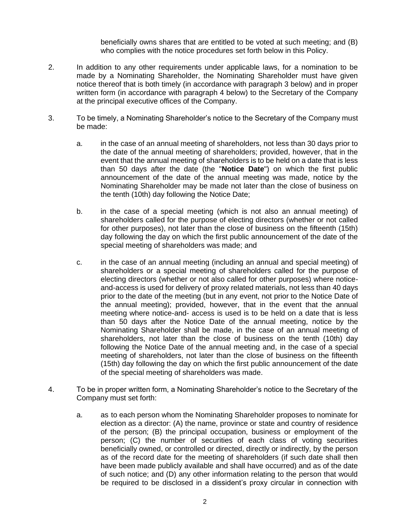beneficially owns shares that are entitled to be voted at such meeting; and (B) who complies with the notice procedures set forth below in this Policy.

- 2. In addition to any other requirements under applicable laws, for a nomination to be made by a Nominating Shareholder, the Nominating Shareholder must have given notice thereof that is both timely (in accordance with paragraph 3 below) and in proper written form (in accordance with paragraph 4 below) to the Secretary of the Company at the principal executive offices of the Company.
- 3. To be timely, a Nominating Shareholder's notice to the Secretary of the Company must be made:
	- a. in the case of an annual meeting of shareholders, not less than 30 days prior to the date of the annual meeting of shareholders; provided, however, that in the event that the annual meeting of shareholders is to be held on a date that is less than 50 days after the date (the "**Notice Date**") on which the first public announcement of the date of the annual meeting was made, notice by the Nominating Shareholder may be made not later than the close of business on the tenth (10th) day following the Notice Date;
	- b. in the case of a special meeting (which is not also an annual meeting) of shareholders called for the purpose of electing directors (whether or not called for other purposes), not later than the close of business on the fifteenth (15th) day following the day on which the first public announcement of the date of the special meeting of shareholders was made; and
	- c. in the case of an annual meeting (including an annual and special meeting) of shareholders or a special meeting of shareholders called for the purpose of electing directors (whether or not also called for other purposes) where noticeand-access is used for delivery of proxy related materials, not less than 40 days prior to the date of the meeting (but in any event, not prior to the Notice Date of the annual meeting); provided, however, that in the event that the annual meeting where notice-and- access is used is to be held on a date that is less than 50 days after the Notice Date of the annual meeting, notice by the Nominating Shareholder shall be made, in the case of an annual meeting of shareholders, not later than the close of business on the tenth (10th) day following the Notice Date of the annual meeting and, in the case of a special meeting of shareholders, not later than the close of business on the fifteenth (15th) day following the day on which the first public announcement of the date of the special meeting of shareholders was made.
- 4. To be in proper written form, a Nominating Shareholder's notice to the Secretary of the Company must set forth:
	- a. as to each person whom the Nominating Shareholder proposes to nominate for election as a director: (A) the name, province or state and country of residence of the person; (B) the principal occupation, business or employment of the person; (C) the number of securities of each class of voting securities beneficially owned, or controlled or directed, directly or indirectly, by the person as of the record date for the meeting of shareholders (if such date shall then have been made publicly available and shall have occurred) and as of the date of such notice; and (D) any other information relating to the person that would be required to be disclosed in a dissident's proxy circular in connection with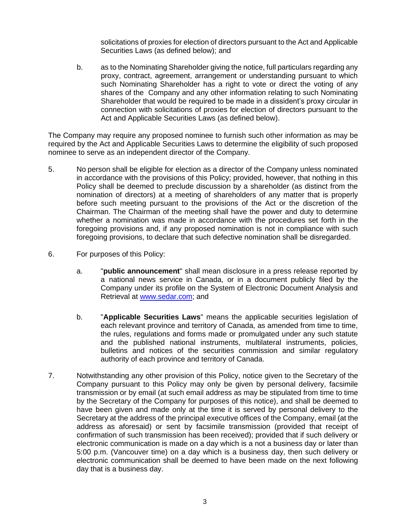solicitations of proxies for election of directors pursuant to the Act and Applicable Securities Laws (as defined below); and

b. as to the Nominating Shareholder giving the notice, full particulars regarding any proxy, contract, agreement, arrangement or understanding pursuant to which such Nominating Shareholder has a right to vote or direct the voting of any shares of the Company and any other information relating to such Nominating Shareholder that would be required to be made in a dissident's proxy circular in connection with solicitations of proxies for election of directors pursuant to the Act and Applicable Securities Laws (as defined below).

The Company may require any proposed nominee to furnish such other information as may be required by the Act and Applicable Securities Laws to determine the eligibility of such proposed nominee to serve as an independent director of the Company.

- 5. No person shall be eligible for election as a director of the Company unless nominated in accordance with the provisions of this Policy; provided, however, that nothing in this Policy shall be deemed to preclude discussion by a shareholder (as distinct from the nomination of directors) at a meeting of shareholders of any matter that is properly before such meeting pursuant to the provisions of the Act or the discretion of the Chairman. The Chairman of the meeting shall have the power and duty to determine whether a nomination was made in accordance with the procedures set forth in the foregoing provisions and, if any proposed nomination is not in compliance with such foregoing provisions, to declare that such defective nomination shall be disregarded.
- 6. For purposes of this Policy:
	- a. "**public announcement**" shall mean disclosure in a press release reported by a national news service in Canada, or in a document publicly filed by the Company under its profile on the System of Electronic Document Analysis and Retrieval at [www.sedar.com;](http://www.sedar.com/) and
	- b. "**Applicable Securities Laws**" means the applicable securities legislation of each relevant province and territory of Canada, as amended from time to time, the rules, regulations and forms made or promulgated under any such statute and the published national instruments, multilateral instruments, policies, bulletins and notices of the securities commission and similar regulatory authority of each province and territory of Canada.
- 7. Notwithstanding any other provision of this Policy, notice given to the Secretary of the Company pursuant to this Policy may only be given by personal delivery, facsimile transmission or by email (at such email address as may be stipulated from time to time by the Secretary of the Company for purposes of this notice), and shall be deemed to have been given and made only at the time it is served by personal delivery to the Secretary at the address of the principal executive offices of the Company, email (at the address as aforesaid) or sent by facsimile transmission (provided that receipt of confirmation of such transmission has been received); provided that if such delivery or electronic communication is made on a day which is a not a business day or later than 5:00 p.m. (Vancouver time) on a day which is a business day, then such delivery or electronic communication shall be deemed to have been made on the next following day that is a business day.